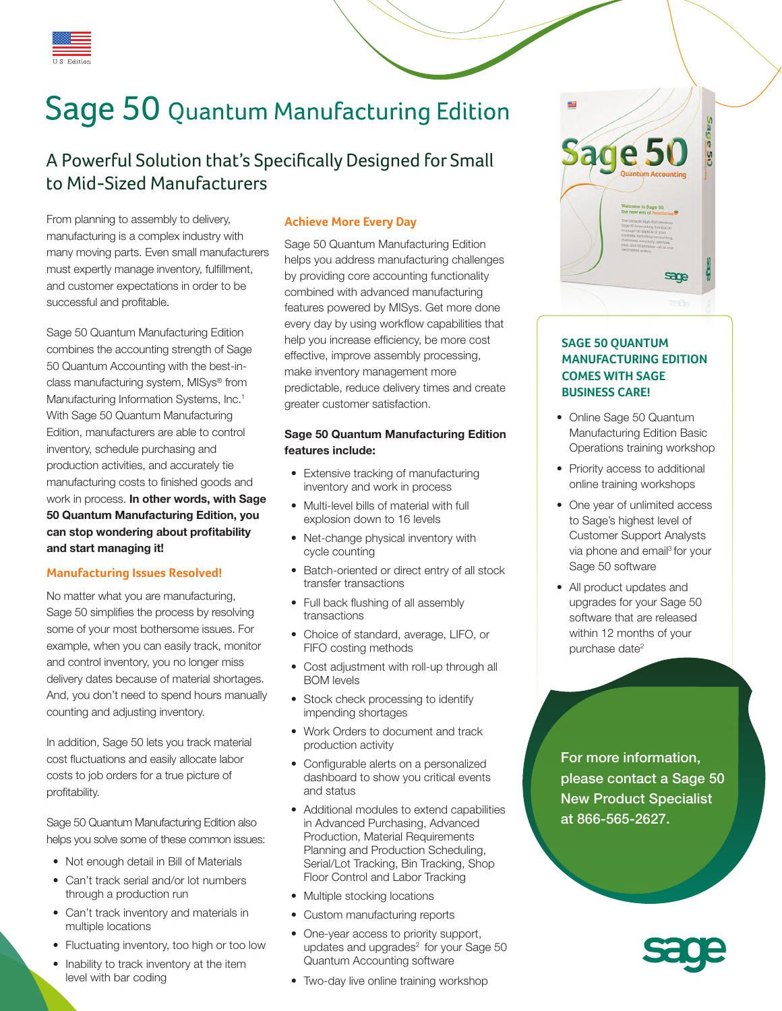

# Sage 50 Quantum Manufacturing Edition

### A Powerful Solution that's Specifically Designed for Small to Mid-Sized Manufacturers

From planning to assembly to delivery, manufacturing is a complex industry with many moving parts. Even small manufacturers must expertly manage inventory, fulfillment, and customer expectations in order to be successful and profitable.

Sage 50 Quantum Manufacturing Edition combines the accounting strength of Sage 50 Quantum Accounting with the best-inclass manufacturing system, MISys® from Manufacturing Information Systems, Inc.<sup>1</sup> With Sage 50 Quantum Manufacturing Edition, manufacturers are able to control inventory, schedule purchasing and production activities, and accurately tie manufacturing costs to finished goods and work in process. **In other words, with Sage 50 Quantum Manufacturing Edition, you can stop wondering about profitability and start managing it!** 

#### **Manufacturing Issues Resolved!**

No matter what you are manufacturing, Sage 50 simplifies the process by resolving some of your most bothersome issues. For example, when you can easily track, monitor and control inventory, you no longer miss delivery dates because of material shortages. And, you don't need to spend hours manually counting and adjusting inventory.

In addition, Sage 50 lets you track material cost fluctuations and easily allocate labor costs to job orders for a true picture of profitability.

Sage 50 Quantum Manufacturing Edition also helps you solve some of these common issues:

- Not enough detail in Bill of Materials
- • Can't track serial and/or lot numbers through a production run
- Can't track inventory and materials in multiple locations
- Fluctuating inventory, too high or too low
- Inability to track inventory at the item level with bar coding

#### **Achieve More Every Day**

Sage 50 Quantum Manufacturing Edition helps you address manufacturing challenges by providing core accounting functionality combined with advanced manufacturing features powered by MISys. Get more done every day by using workflow capabilities that help you increase efficiency, be more cost effective, improve assembly processing, make inventory management more predictable, reduce delivery times and create greater customer satisfaction.

#### **Sage 50 Quantum Manufacturing Edition features include:**

- Extensive tracking of manufacturing inventory and work in process
- Multi-level bills of material with full explosion down to 16 levels
- Net-change physical inventory with cycle counting
- Batch-oriented or direct entry of all stock transfer transactions
- Full back flushing of all assembly transactions
- Choice of standard, average, LIFO, or FIFO costing methods
- Cost adjustment with roll-up through all BOM levels
- Stock check processing to identify impending shortages
- Work Orders to document and track production activity
- Configurable alerts on a personalized dashboard to show you critical events and status
- Additional modules to extend capabilities in Advanced Purchasing, Advanced Production, Material Requirements Planning and Production Scheduling, Serial/Lot Tracking, Bin Tracking, Shop Floor Control and Labor Tracking
- Multiple stocking locations
- Custom manufacturing reports
- One-year access to priority support, updates and upgrades<sup>2</sup> for your Sage 50 Quantum Accounting software
- Two-day live online training workshop



#### **SAGE 50 QUANTUM MANUFACTURING EDITION COMES WITH SAGE BUSINESS CARE!**

- Online Sage 50 Quantum Manufacturing Edition Basic Operations training workshop
- Priority access to additional online training workshops
- One year of unlimited access to Sage's highest level of Customer Support Analysts via phone and email<sup>3</sup> for your Sage 50 software
- All product updates and upgrades for your Sage 50 software that are released within 12 months of your purchase date<sup>2</sup>

For more information, please contact a Sage 50 New Product Specialist at 866-565-2627.

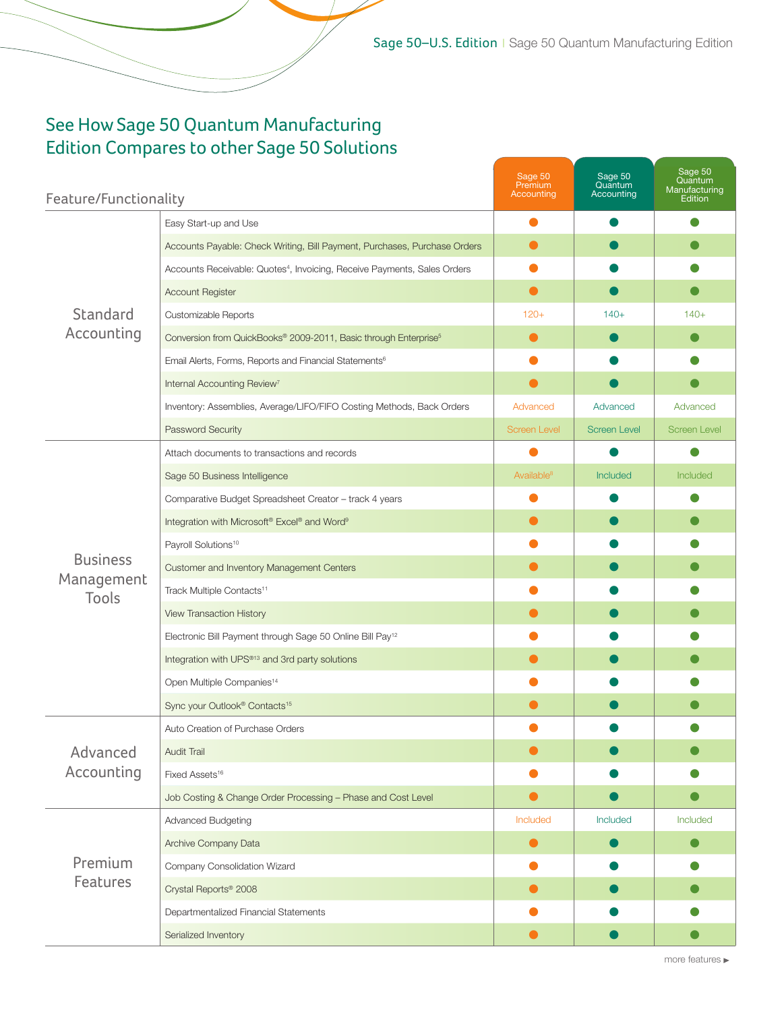## See How Sage 50 Quantum Manufacturing Edition Compares to other Sage 50 Solutions

| Feature/Functionality                  |                                                                                      | Sage 50<br>Premium<br>Accounting | Sage 50<br>Quantum<br>Accounting | Sage 50<br>Quantum<br>Manufacturing<br>Edition |
|----------------------------------------|--------------------------------------------------------------------------------------|----------------------------------|----------------------------------|------------------------------------------------|
| Standard<br>Accounting                 | Easy Start-up and Use                                                                |                                  |                                  |                                                |
|                                        | Accounts Payable: Check Writing, Bill Payment, Purchases, Purchase Orders            |                                  |                                  |                                                |
|                                        | Accounts Receivable: Quotes <sup>4</sup> , Invoicing, Receive Payments, Sales Orders |                                  |                                  |                                                |
|                                        | <b>Account Register</b>                                                              | $\bullet$                        |                                  |                                                |
|                                        | Customizable Reports                                                                 | $120+$                           | $140+$                           | $140+$                                         |
|                                        | Conversion from QuickBooks® 2009-2011, Basic through Enterprise <sup>5</sup>         | $\bullet$                        |                                  |                                                |
|                                        | Email Alerts, Forms, Reports and Financial Statements <sup>6</sup>                   |                                  |                                  |                                                |
|                                        | Internal Accounting Review <sup>7</sup>                                              |                                  |                                  |                                                |
|                                        | Inventory: Assemblies, Average/LIFO/FIFO Costing Methods, Back Orders                | Advanced                         | Advanced                         | Advanced                                       |
|                                        | Password Security                                                                    | <b>Screen Level</b>              | <b>Screen Level</b>              | <b>Screen Level</b>                            |
| <b>Business</b><br>Management<br>Tools | Attach documents to transactions and records                                         |                                  |                                  |                                                |
|                                        | Sage 50 Business Intelligence                                                        | Available <sup>8</sup>           | Included                         | Included                                       |
|                                        | Comparative Budget Spreadsheet Creator - track 4 years                               |                                  |                                  |                                                |
|                                        | Integration with Microsoft <sup>®</sup> Excel® and Word <sup>9</sup>                 |                                  |                                  |                                                |
|                                        | Payroll Solutions <sup>10</sup>                                                      |                                  |                                  |                                                |
|                                        | Customer and Inventory Management Centers                                            |                                  |                                  |                                                |
|                                        | Track Multiple Contacts <sup>11</sup>                                                |                                  |                                  |                                                |
|                                        | View Transaction History                                                             |                                  |                                  |                                                |
|                                        | Electronic Bill Payment through Sage 50 Online Bill Pay <sup>12</sup>                |                                  |                                  |                                                |
|                                        | Integration with UPS®13 and 3rd party solutions                                      |                                  |                                  |                                                |
|                                        | Open Multiple Companies <sup>14</sup>                                                |                                  |                                  |                                                |
|                                        | Sync your Outlook® Contacts <sup>15</sup>                                            |                                  |                                  |                                                |
| Advanced<br>Accounting                 | Auto Creation of Purchase Orders                                                     |                                  |                                  |                                                |
|                                        | Audit Trail                                                                          |                                  |                                  |                                                |
|                                        | Fixed Assets <sup>16</sup>                                                           |                                  |                                  |                                                |
|                                        | Job Costing & Change Order Processing - Phase and Cost Level                         |                                  |                                  |                                                |
|                                        | Advanced Budgeting                                                                   | Included                         | Included                         | Included                                       |
| Premium<br>Features                    | Archive Company Data                                                                 | $\bullet$                        |                                  |                                                |
|                                        | Company Consolidation Wizard                                                         |                                  |                                  |                                                |
|                                        | Crystal Reports <sup>®</sup> 2008                                                    |                                  |                                  |                                                |
|                                        | Departmentalized Financial Statements                                                |                                  |                                  |                                                |
|                                        | Serialized Inventory                                                                 |                                  |                                  |                                                |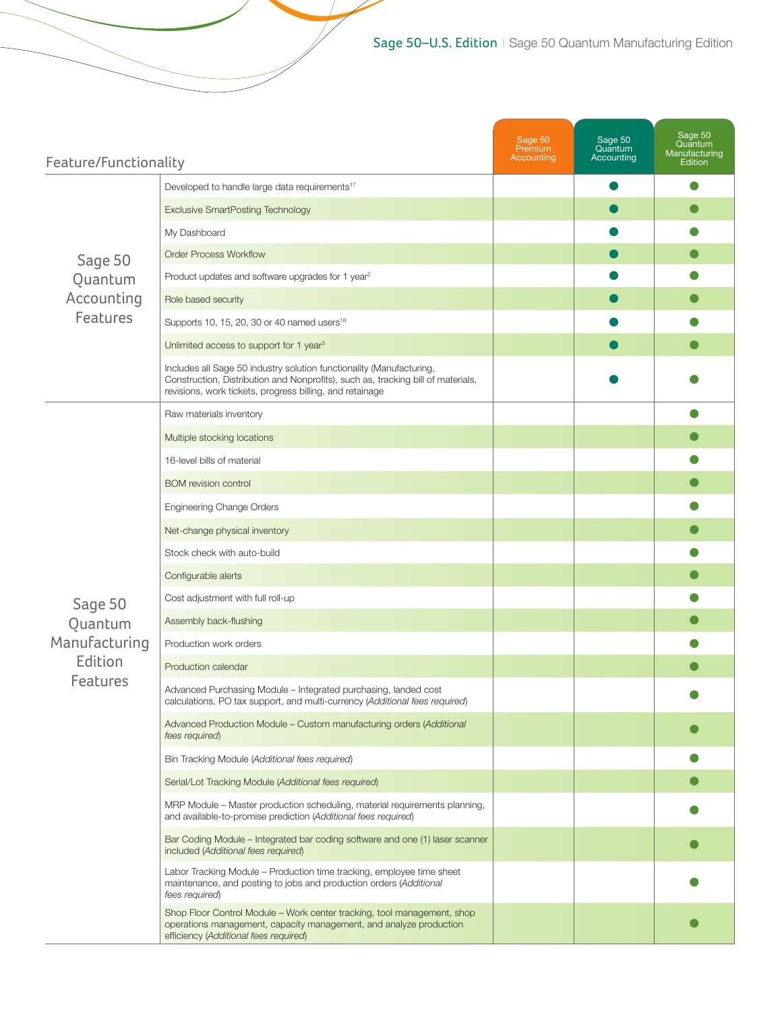| Feature/Functionality                                             |                                                                                                                                                                                                                      | Sage 50<br>Premium<br>Accounting | Sage 50<br>Quantum<br>Accounting | Sage 50<br>Quantum<br>Manufacturing<br>Edition |
|-------------------------------------------------------------------|----------------------------------------------------------------------------------------------------------------------------------------------------------------------------------------------------------------------|----------------------------------|----------------------------------|------------------------------------------------|
| Sage 50<br>Quantum<br>Accounting<br><b>Features</b>               | Developed to handle large data requirements <sup>17</sup>                                                                                                                                                            |                                  |                                  |                                                |
|                                                                   | <b>Exclusive SmartPosting Technology</b>                                                                                                                                                                             |                                  |                                  |                                                |
|                                                                   | My Dashboard                                                                                                                                                                                                         |                                  |                                  |                                                |
|                                                                   | <b>Order Process Workflow</b>                                                                                                                                                                                        |                                  |                                  |                                                |
|                                                                   | Product updates and software upgrades for 1 year <sup>2</sup>                                                                                                                                                        |                                  |                                  |                                                |
|                                                                   | Role based security                                                                                                                                                                                                  |                                  |                                  |                                                |
|                                                                   | Supports 10, 15, 20, 30 or 40 named users <sup>18</sup>                                                                                                                                                              |                                  |                                  |                                                |
|                                                                   | Unlimited access to support for 1 year <sup>3</sup>                                                                                                                                                                  |                                  |                                  |                                                |
|                                                                   | Includes all Sage 50 industry solution functionality (Manufacturing,<br>Construction, Distribution and Nonprofits), such as, tracking bill of materials,<br>revisions, work tickets, progress billing, and retainage |                                  |                                  |                                                |
| Sage 50<br>Quantum<br>Manufacturing<br>Edition<br><b>Features</b> | Raw materials inventory                                                                                                                                                                                              |                                  |                                  |                                                |
|                                                                   | Multiple stocking locations                                                                                                                                                                                          |                                  |                                  |                                                |
|                                                                   | 16-level bills of material                                                                                                                                                                                           |                                  |                                  |                                                |
|                                                                   | <b>BOM</b> revision control                                                                                                                                                                                          |                                  |                                  |                                                |
|                                                                   | Engineering Change Orders                                                                                                                                                                                            |                                  |                                  |                                                |
|                                                                   | Net-change physical inventory                                                                                                                                                                                        |                                  |                                  |                                                |
|                                                                   | Stock check with auto-build                                                                                                                                                                                          |                                  |                                  |                                                |
|                                                                   | Configurable alerts                                                                                                                                                                                                  |                                  |                                  |                                                |
|                                                                   | Cost adjustment with full roll-up                                                                                                                                                                                    |                                  |                                  |                                                |
|                                                                   | Assembly back-flushing                                                                                                                                                                                               |                                  |                                  |                                                |
|                                                                   | Production work orders                                                                                                                                                                                               |                                  |                                  |                                                |
|                                                                   | Production calendar                                                                                                                                                                                                  |                                  |                                  |                                                |
|                                                                   | Advanced Purchasing Module - Integrated purchasing, landed cost<br>calculations, PO tax support, and multi-currency (Additional fees required)                                                                       |                                  |                                  |                                                |
|                                                                   | Advanced Production Module - Custom manufacturing orders (Additional<br>fees required)                                                                                                                               |                                  |                                  |                                                |
|                                                                   | Bin Tracking Module (Additional fees required)                                                                                                                                                                       |                                  |                                  |                                                |
|                                                                   | Serial/Lot Tracking Module (Additional fees required)                                                                                                                                                                |                                  |                                  |                                                |
|                                                                   | MRP Module - Master production scheduling, material requirements planning,<br>and available-to-promise prediction (Additional fees required)                                                                         |                                  |                                  |                                                |
|                                                                   | Bar Coding Module - Integrated bar coding software and one (1) laser scanner<br>included (Additional fees required)                                                                                                  |                                  |                                  |                                                |
|                                                                   | Labor Tracking Module - Production time tracking, employee time sheet<br>maintenance, and posting to jobs and production orders (Additional<br>fees required)                                                        |                                  |                                  |                                                |
|                                                                   | Shop Floor Control Module - Work center tracking, tool management, shop<br>operations management, capacity management, and analyze production<br>efficiency (Additional fees required)                               |                                  |                                  |                                                |